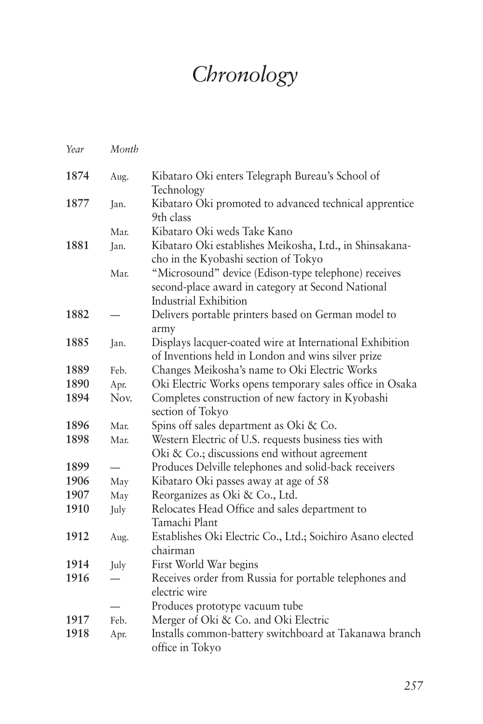## *Chronology*

| Year | Month |                                                            |
|------|-------|------------------------------------------------------------|
| 1874 | Aug.  | Kibataro Oki enters Telegraph Bureau's School of           |
|      |       | Technology                                                 |
| 1877 | Jan.  | Kibataro Oki promoted to advanced technical apprentice     |
|      |       | 9th class                                                  |
|      | Mar.  | Kibataro Oki weds Take Kano                                |
| 1881 | Jan.  | Kibataro Oki establishes Meikosha, Ltd., in Shinsakana-    |
|      |       | cho in the Kyobashi section of Tokyo                       |
|      | Mar.  | "Microsound" device (Edison-type telephone) receives       |
|      |       | second-place award in category at Second National          |
|      |       | <b>Industrial Exhibition</b>                               |
| 1882 |       | Delivers portable printers based on German model to        |
|      |       | army                                                       |
| 1885 | Jan.  | Displays lacquer-coated wire at International Exhibition   |
|      |       | of Inventions held in London and wins silver prize         |
| 1889 | Feb.  | Changes Meikosha's name to Oki Electric Works              |
| 1890 | Apr.  | Oki Electric Works opens temporary sales office in Osaka   |
| 1894 | Nov.  | Completes construction of new factory in Kyobashi          |
|      |       | section of Tokyo                                           |
| 1896 | Mar.  | Spins off sales department as Oki & Co.                    |
| 1898 | Mar.  | Western Electric of U.S. requests business ties with       |
|      |       | Oki & Co.; discussions end without agreement               |
| 1899 |       | Produces Delville telephones and solid-back receivers      |
| 1906 | May   | Kibataro Oki passes away at age of 58                      |
| 1907 | May   | Reorganizes as Oki & Co., Ltd.                             |
| 1910 | July  | Relocates Head Office and sales department to              |
|      |       | Tamachi Plant                                              |
| 1912 | Aug.  | Establishes Oki Electric Co., Ltd.; Soichiro Asano elected |
|      |       | chairman                                                   |
| 1914 | July  | First World War begins                                     |
| 1916 |       | Receives order from Russia for portable telephones and     |
|      |       | electric wire                                              |
|      |       | Produces prototype vacuum tube                             |
| 1917 | Feb.  | Merger of Oki & Co. and Oki Electric                       |
| 1918 | Apr.  | Installs common-battery switchboard at Takanawa branch     |
|      |       | office in Tokyo                                            |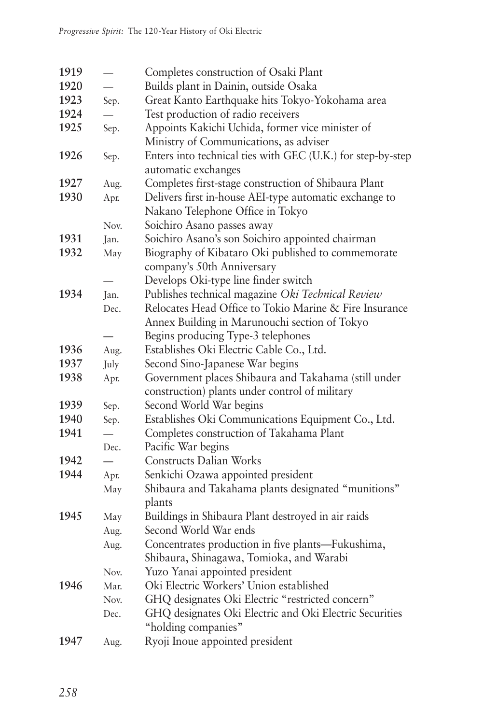| 1919 |      | Completes construction of Osaki Plant                                                     |
|------|------|-------------------------------------------------------------------------------------------|
| 1920 |      | Builds plant in Dainin, outside Osaka                                                     |
| 1923 | Sep. | Great Kanto Earthquake hits Tokyo-Yokohama area                                           |
| 1924 |      | Test production of radio receivers                                                        |
| 1925 | Sep. | Appoints Kakichi Uchida, former vice minister of                                          |
|      |      | Ministry of Communications, as adviser                                                    |
| 1926 | Sep. | Enters into technical ties with GEC (U.K.) for step-by-step                               |
|      |      | automatic exchanges                                                                       |
| 1927 | Aug. | Completes first-stage construction of Shibaura Plant                                      |
| 1930 | Apr. | Delivers first in-house AEI-type automatic exchange to                                    |
|      |      | Nakano Telephone Office in Tokyo                                                          |
|      | Nov. | Soichiro Asano passes away                                                                |
| 1931 | Jan. | Soichiro Asano's son Soichiro appointed chairman                                          |
| 1932 | May  | Biography of Kibataro Oki published to commemorate                                        |
|      |      | company's 50th Anniversary                                                                |
|      |      | Develops Oki-type line finder switch                                                      |
| 1934 | Jan. | Publishes technical magazine Oki Technical Review                                         |
|      | Dec. | Relocates Head Office to Tokio Marine & Fire Insurance                                    |
|      |      | Annex Building in Marunouchi section of Tokyo                                             |
|      |      | Begins producing Type-3 telephones                                                        |
| 1936 | Aug. | Establishes Oki Electric Cable Co., Ltd.                                                  |
| 1937 | July | Second Sino-Japanese War begins                                                           |
| 1938 | Apr. | Government places Shibaura and Takahama (still under                                      |
|      |      | construction) plants under control of military                                            |
| 1939 | Sep. | Second World War begins                                                                   |
| 1940 | Sep. | Establishes Oki Communications Equipment Co., Ltd.                                        |
| 1941 |      | Completes construction of Takahama Plant                                                  |
|      | Dec. | Pacific War begins<br>Constructs Dalian Works                                             |
| 1942 |      |                                                                                           |
| 1944 | Apr. | Senkichi Ozawa appointed president<br>Shibaura and Takahama plants designated "munitions" |
|      | May  | plants                                                                                    |
| 1945 | May  | Buildings in Shibaura Plant destroyed in air raids                                        |
|      | Aug. | Second World War ends                                                                     |
|      | Aug. | Concentrates production in five plants-Fukushima,                                         |
|      |      | Shibaura, Shinagawa, Tomioka, and Warabi                                                  |
|      | Nov. | Yuzo Yanai appointed president                                                            |
| 1946 | Mar. | Oki Electric Workers' Union established                                                   |
|      | Nov. | GHQ designates Oki Electric "restricted concern"                                          |
|      | Dec. | GHQ designates Oki Electric and Oki Electric Securities                                   |
|      |      | "holding companies"                                                                       |
| 1947 | Aug. | Ryoji Inoue appointed president                                                           |
|      |      |                                                                                           |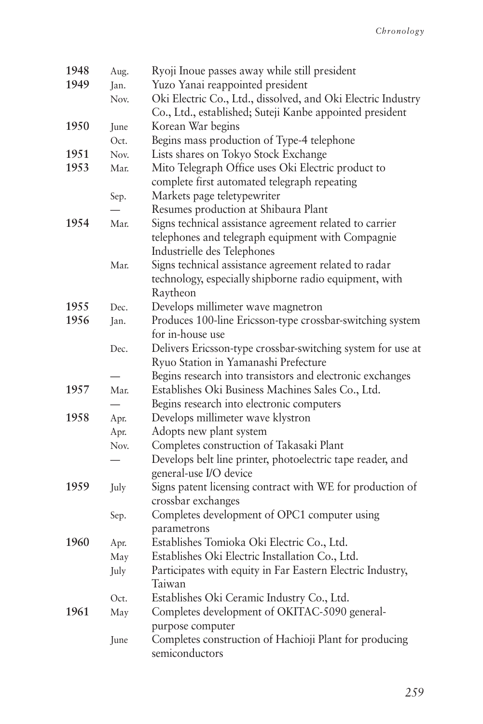| 1948 | Aug. | Ryoji Inoue passes away while still president                |
|------|------|--------------------------------------------------------------|
| 1949 | Jan. | Yuzo Yanai reappointed president                             |
|      | Nov. | Oki Electric Co., Ltd., dissolved, and Oki Electric Industry |
|      |      | Co., Ltd., established; Suteji Kanbe appointed president     |
| 1950 | June | Korean War begins                                            |
|      | Oct. | Begins mass production of Type-4 telephone                   |
| 1951 | Nov. | Lists shares on Tokyo Stock Exchange                         |
| 1953 | Mar. | Mito Telegraph Office uses Oki Electric product to           |
|      |      | complete first automated telegraph repeating                 |
|      | Sep. | Markets page teletypewriter                                  |
|      |      | Resumes production at Shibaura Plant                         |
| 1954 | Mar. | Signs technical assistance agreement related to carrier      |
|      |      | telephones and telegraph equipment with Compagnie            |
|      |      | Industrielle des Telephones                                  |
|      | Mar. | Signs technical assistance agreement related to radar        |
|      |      | technology, especially shipborne radio equipment, with       |
|      |      | Raytheon                                                     |
| 1955 | Dec. | Develops millimeter wave magnetron                           |
| 1956 | Jan. | Produces 100-line Ericsson-type crossbar-switching system    |
|      |      | for in-house use                                             |
|      | Dec. | Delivers Ericsson-type crossbar-switching system for use at  |
|      |      | Ryuo Station in Yamanashi Prefecture                         |
|      |      | Begins research into transistors and electronic exchanges    |
| 1957 | Mar. | Establishes Oki Business Machines Sales Co., Ltd.            |
|      |      | Begins research into electronic computers                    |
| 1958 | Apr. | Develops millimeter wave klystron                            |
|      | Apr. | Adopts new plant system                                      |
|      | Nov. | Completes construction of Takasaki Plant                     |
|      |      | Develops belt line printer, photoelectric tape reader, and   |
|      |      | general-use I/O device                                       |
| 1959 | July | Signs patent licensing contract with WE for production of    |
|      |      | crossbar exchanges                                           |
|      | Sep. | Completes development of OPC1 computer using                 |
|      |      | parametrons                                                  |
| 1960 | Apr. | Establishes Tomioka Oki Electric Co., Ltd.                   |
|      | May  | Establishes Oki Electric Installation Co., Ltd.              |
|      | July | Participates with equity in Far Eastern Electric Industry,   |
|      |      | Taiwan                                                       |
|      | Oct. | Establishes Oki Ceramic Industry Co., Ltd.                   |
| 1961 | May  | Completes development of OKITAC-5090 general-                |
|      |      | purpose computer                                             |
|      | June | Completes construction of Hachioji Plant for producing       |
|      |      | semiconductors                                               |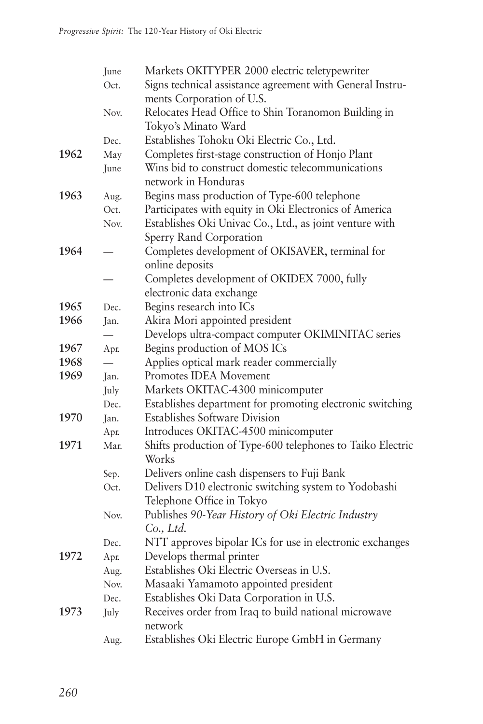|      | June                     | Markets OKITYPER 2000 electric teletypewriter                       |
|------|--------------------------|---------------------------------------------------------------------|
|      | Oct.                     | Signs technical assistance agreement with General Instru-           |
|      |                          | ments Corporation of U.S.                                           |
|      | Nov.                     | Relocates Head Office to Shin Toranomon Building in                 |
|      |                          | Tokyo's Minato Ward                                                 |
|      | Dec.                     | Establishes Tohoku Oki Electric Co., Ltd.                           |
| 1962 | May                      | Completes first-stage construction of Honjo Plant                   |
|      | June                     | Wins bid to construct domestic telecommunications                   |
|      |                          | network in Honduras                                                 |
| 1963 | Aug.                     | Begins mass production of Type-600 telephone                        |
|      | Oct.                     | Participates with equity in Oki Electronics of America              |
|      | Nov.                     | Establishes Oki Univac Co., Ltd., as joint venture with             |
|      |                          | Sperry Rand Corporation                                             |
| 1964 |                          | Completes development of OKISAVER, terminal for                     |
|      |                          | online deposits                                                     |
|      |                          | Completes development of OKIDEX 7000, fully                         |
|      |                          | electronic data exchange                                            |
| 1965 | Dec.                     | Begins research into ICs                                            |
| 1966 | Jan.                     | Akira Mori appointed president                                      |
|      | $\overline{\phantom{0}}$ | Develops ultra-compact computer OKIMINITAC series                   |
| 1967 | Apr.                     | Begins production of MOS ICs                                        |
| 1968 | $\overline{\phantom{0}}$ | Applies optical mark reader commercially                            |
| 1969 | Jan.                     | Promotes IDEA Movement                                              |
|      | July                     | Markets OKITAC-4300 minicomputer                                    |
|      | Dec.                     | Establishes department for promoting electronic switching           |
| 1970 | Jan.                     | <b>Establishes Software Division</b>                                |
|      | Apr.                     | Introduces OKITAC-4500 minicomputer                                 |
| 1971 | Mar.                     | Shifts production of Type-600 telephones to Taiko Electric<br>Works |
|      | Sep.                     | Delivers online cash dispensers to Fuji Bank                        |
|      | Oct.                     | Delivers D10 electronic switching system to Yodobashi               |
|      |                          | Telephone Office in Tokyo                                           |
|      | Nov.                     | Publishes 90-Year History of Oki Electric Industry                  |
|      |                          | Co., Ltd.                                                           |
|      | Dec.                     | NTT approves bipolar ICs for use in electronic exchanges            |
| 1972 | Apr.                     | Develops thermal printer                                            |
|      | Aug.                     | Establishes Oki Electric Overseas in U.S.                           |
|      | Nov.                     | Masaaki Yamamoto appointed president                                |
|      | Dec.                     | Establishes Oki Data Corporation in U.S.                            |
| 1973 | July                     | Receives order from Iraq to build national microwave                |
|      |                          | network                                                             |
|      | Aug.                     | Establishes Oki Electric Europe GmbH in Germany                     |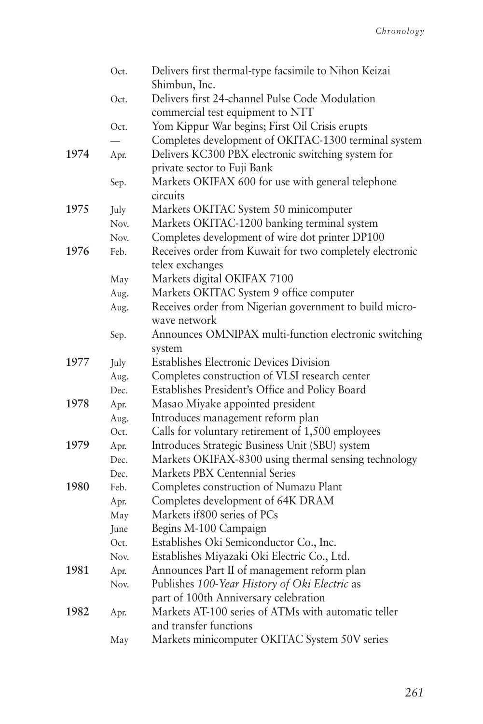|      | Oct. | Delivers first thermal-type facsimile to Nihon Keizai            |
|------|------|------------------------------------------------------------------|
|      |      | Shimbun, Inc.<br>Delivers first 24-channel Pulse Code Modulation |
|      | Oct. |                                                                  |
|      |      | commercial test equipment to NTT                                 |
|      | Oct. | Yom Kippur War begins; First Oil Crisis erupts                   |
|      |      | Completes development of OKITAC-1300 terminal system             |
| 1974 | Apr. | Delivers KC300 PBX electronic switching system for               |
|      |      | private sector to Fuji Bank                                      |
|      | Sep. | Markets OKIFAX 600 for use with general telephone                |
|      |      | circuits                                                         |
| 1975 | July | Markets OKITAC System 50 minicomputer                            |
|      | Nov. | Markets OKITAC-1200 banking terminal system                      |
|      | Nov. | Completes development of wire dot printer DP100                  |
| 1976 | Feb. | Receives order from Kuwait for two completely electronic         |
|      |      | telex exchanges                                                  |
|      | May  | Markets digital OKIFAX 7100                                      |
|      | Aug. | Markets OKITAC System 9 office computer                          |
|      | Aug. | Receives order from Nigerian government to build micro-          |
|      |      | wave network                                                     |
|      | Sep. | Announces OMNIPAX multi-function electronic switching            |
|      |      | system                                                           |
| 1977 | July | <b>Establishes Electronic Devices Division</b>                   |
|      | Aug. | Completes construction of VLSI research center                   |
|      | Dec. | Establishes President's Office and Policy Board                  |
| 1978 | Apr. | Masao Miyake appointed president                                 |
|      | Aug. | Introduces management reform plan                                |
|      | Oct. | Calls for voluntary retirement of 1,500 employees                |
| 1979 | Apr. | Introduces Strategic Business Unit (SBU) system                  |
|      | Dec. | Markets OKIFAX-8300 using thermal sensing technology             |
|      | Dec. | Markets PBX Centennial Series                                    |
| 1980 | Feb. | Completes construction of Numazu Plant                           |
|      | Apr. | Completes development of 64K DRAM                                |
|      | May  | Markets if 800 series of PCs                                     |
|      | June | Begins M-100 Campaign                                            |
|      | Oct. | Establishes Oki Semiconductor Co., Inc.                          |
|      | Nov. | Establishes Miyazaki Oki Electric Co., Ltd.                      |
| 1981 | Apr. | Announces Part II of management reform plan                      |
|      | Nov. | Publishes 100-Year History of Oki Electric as                    |
|      |      | part of 100th Anniversary celebration                            |
| 1982 | Apr. | Markets AT-100 series of ATMs with automatic teller              |
|      |      | and transfer functions                                           |
|      | May  | Markets minicomputer OKITAC System 50V series                    |
|      |      |                                                                  |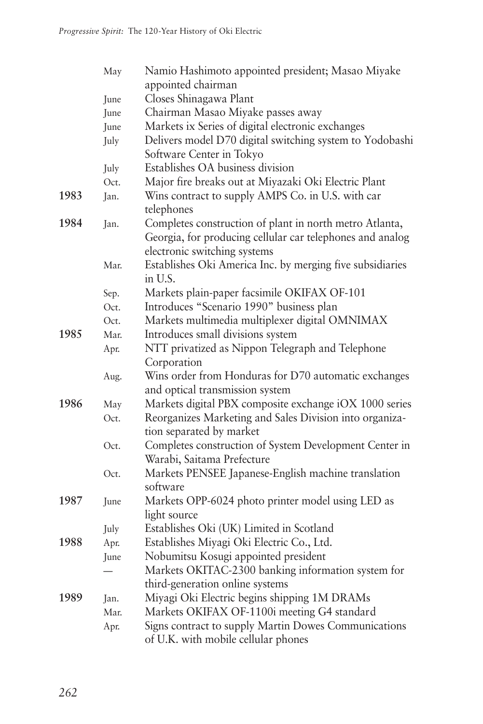|      | May  | Namio Hashimoto appointed president; Masao Miyake                                                                    |
|------|------|----------------------------------------------------------------------------------------------------------------------|
|      |      | appointed chairman                                                                                                   |
|      | June | Closes Shinagawa Plant                                                                                               |
|      | June | Chairman Masao Miyake passes away                                                                                    |
|      | June | Markets ix Series of digital electronic exchanges                                                                    |
|      | July | Delivers model D70 digital switching system to Yodobashi<br>Software Center in Tokyo                                 |
|      | July | Establishes OA business division                                                                                     |
|      | Oct. | Major fire breaks out at Miyazaki Oki Electric Plant                                                                 |
| 1983 | Jan. | Wins contract to supply AMPS Co. in U.S. with car                                                                    |
|      |      | telephones                                                                                                           |
| 1984 | Jan. | Completes construction of plant in north metro Atlanta,<br>Georgia, for producing cellular car telephones and analog |
|      |      | electronic switching systems                                                                                         |
|      | Mar. | Establishes Oki America Inc. by merging five subsidiaries<br>in U.S.                                                 |
|      | Sep. | Markets plain-paper facsimile OKIFAX OF-101                                                                          |
|      | Oct. | Introduces "Scenario 1990" business plan                                                                             |
|      | Oct. | Markets multimedia multiplexer digital OMNIMAX                                                                       |
| 1985 | Mar. | Introduces small divisions system                                                                                    |
|      | Apr. | NTT privatized as Nippon Telegraph and Telephone                                                                     |
|      |      | Corporation                                                                                                          |
|      | Aug. | Wins order from Honduras for D70 automatic exchanges                                                                 |
|      |      | and optical transmission system                                                                                      |
| 1986 | May  | Markets digital PBX composite exchange iOX 1000 series                                                               |
|      | Oct. | Reorganizes Marketing and Sales Division into organiza-<br>tion separated by market                                  |
|      | Oct. | Completes construction of System Development Center in<br>Warabi, Saitama Prefecture                                 |
|      | Oct. | Markets PENSEE Japanese-English machine translation                                                                  |
|      |      | software                                                                                                             |
| 1987 | June | Markets OPP-6024 photo printer model using LED as                                                                    |
|      |      | light source                                                                                                         |
|      |      | Establishes Oki (UK) Limited in Scotland                                                                             |
| 1988 | July | Establishes Miyagi Oki Electric Co., Ltd.                                                                            |
|      | Apr. | Nobumitsu Kosugi appointed president                                                                                 |
|      | June | Markets OKITAC-2300 banking information system for                                                                   |
|      |      | third-generation online systems                                                                                      |
| 1989 | Jan. | Miyagi Oki Electric begins shipping 1M DRAMs                                                                         |
|      | Mar. | Markets OKIFAX OF-1100i meeting G4 standard                                                                          |
|      | Apr. | Signs contract to supply Martin Dowes Communications<br>of U.K. with mobile cellular phones                          |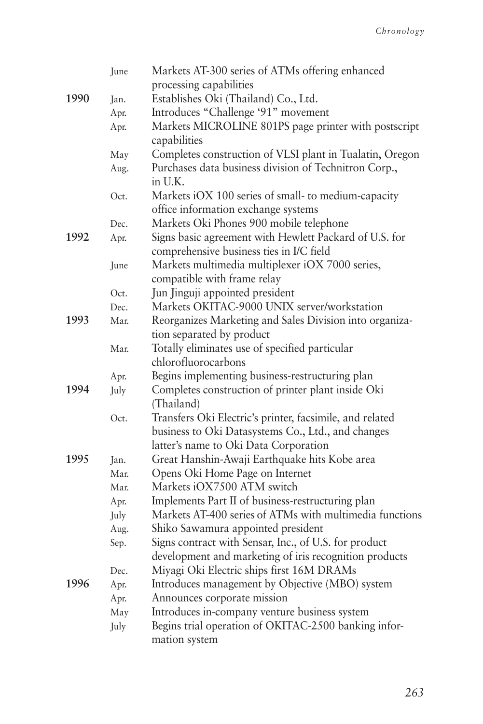|      | June | Markets AT-300 series of ATMs offering enhanced                  |
|------|------|------------------------------------------------------------------|
|      |      | processing capabilities                                          |
| 1990 | Jan. | Establishes Oki (Thailand) Co., Ltd.                             |
|      | Apr. | Introduces "Challenge '91" movement                              |
|      | Apr. | Markets MICROLINE 801PS page printer with postscript             |
|      |      | capabilities                                                     |
|      | May  | Completes construction of VLSI plant in Tualatin, Oregon         |
|      | Aug. | Purchases data business division of Technitron Corp.,<br>in U.K. |
|      | Oct. | Markets iOX 100 series of small- to medium-capacity              |
|      |      | office information exchange systems                              |
|      | Dec. | Markets Oki Phones 900 mobile telephone                          |
| 1992 | Apr. | Signs basic agreement with Hewlett Packard of U.S. for           |
|      |      | comprehensive business ties in I/C field                         |
|      | June | Markets multimedia multiplexer iOX 7000 series,                  |
|      |      | compatible with frame relay                                      |
|      | Oct. | Jun Jinguji appointed president                                  |
|      | Dec. | Markets OKITAC-9000 UNIX server/workstation                      |
| 1993 | Mar. | Reorganizes Marketing and Sales Division into organiza-          |
|      |      | tion separated by product                                        |
|      | Mar. | Totally eliminates use of specified particular                   |
|      |      | chlorofluorocarbons                                              |
|      | Apr. | Begins implementing business-restructuring plan                  |
| 1994 | July | Completes construction of printer plant inside Oki               |
|      |      | (Thailand)                                                       |
|      | Oct. | Transfers Oki Electric's printer, facsimile, and related         |
|      |      | business to Oki Datasystems Co., Ltd., and changes               |
|      |      | latter's name to Oki Data Corporation                            |
| 1995 | Jan. | Great Hanshin-Awaji Earthquake hits Kobe area                    |
|      | Mar. | Opens Oki Home Page on Internet                                  |
|      | Mar. | Markets iOX7500 ATM switch                                       |
|      | Apr. | Implements Part II of business-restructuring plan                |
|      | July | Markets AT-400 series of ATMs with multimedia functions          |
|      | Aug. | Shiko Sawamura appointed president                               |
|      | Sep. | Signs contract with Sensar, Inc., of U.S. for product            |
|      |      | development and marketing of iris recognition products           |
|      | Dec. | Miyagi Oki Electric ships first 16M DRAMs                        |
| 1996 | Apr. | Introduces management by Objective (MBO) system                  |
|      | Apr. | Announces corporate mission                                      |
|      | May  | Introduces in-company venture business system                    |
|      | July | Begins trial operation of OKITAC-2500 banking infor-             |
|      |      | mation system                                                    |